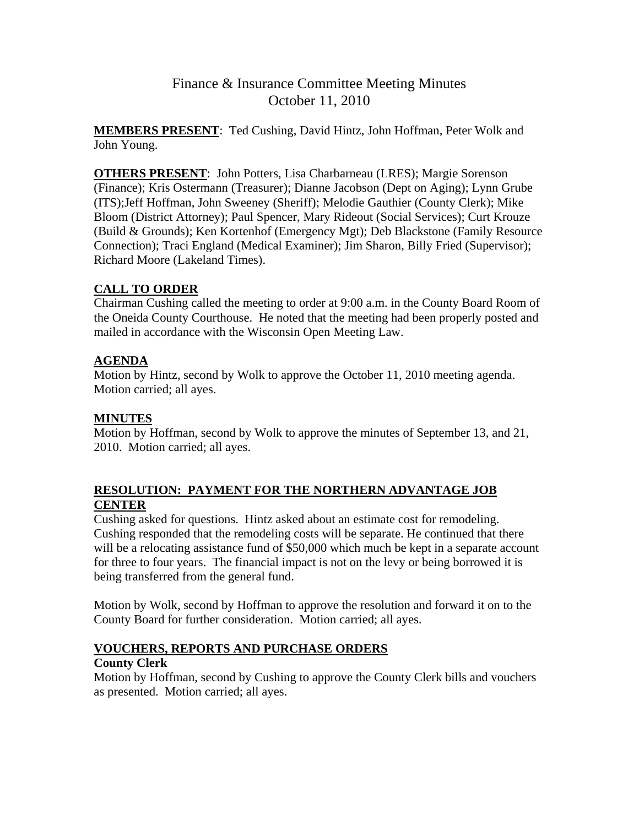**MEMBERS PRESENT**: Ted Cushing, David Hintz, John Hoffman, Peter Wolk and John Young.

**OTHERS PRESENT**: John Potters, Lisa Charbarneau (LRES); Margie Sorenson (Finance); Kris Ostermann (Treasurer); Dianne Jacobson (Dept on Aging); Lynn Grube (ITS);Jeff Hoffman, John Sweeney (Sheriff); Melodie Gauthier (County Clerk); Mike Bloom (District Attorney); Paul Spencer, Mary Rideout (Social Services); Curt Krouze (Build & Grounds); Ken Kortenhof (Emergency Mgt); Deb Blackstone (Family Resource Connection); Traci England (Medical Examiner); Jim Sharon, Billy Fried (Supervisor); Richard Moore (Lakeland Times).

# **CALL TO ORDER**

Chairman Cushing called the meeting to order at 9:00 a.m. in the County Board Room of the Oneida County Courthouse. He noted that the meeting had been properly posted and mailed in accordance with the Wisconsin Open Meeting Law.

# **AGENDA**

Motion by Hintz, second by Wolk to approve the October 11, 2010 meeting agenda. Motion carried; all ayes.

# **MINUTES**

Motion by Hoffman, second by Wolk to approve the minutes of September 13, and 21, 2010. Motion carried; all ayes.

# **RESOLUTION: PAYMENT FOR THE NORTHERN ADVANTAGE JOB CENTER**

Cushing asked for questions. Hintz asked about an estimate cost for remodeling. Cushing responded that the remodeling costs will be separate. He continued that there will be a relocating assistance fund of \$50,000 which much be kept in a separate account for three to four years. The financial impact is not on the levy or being borrowed it is being transferred from the general fund.

Motion by Wolk, second by Hoffman to approve the resolution and forward it on to the County Board for further consideration. Motion carried; all ayes.

# **VOUCHERS, REPORTS AND PURCHASE ORDERS**

# **County Clerk**

Motion by Hoffman, second by Cushing to approve the County Clerk bills and vouchers as presented. Motion carried; all ayes.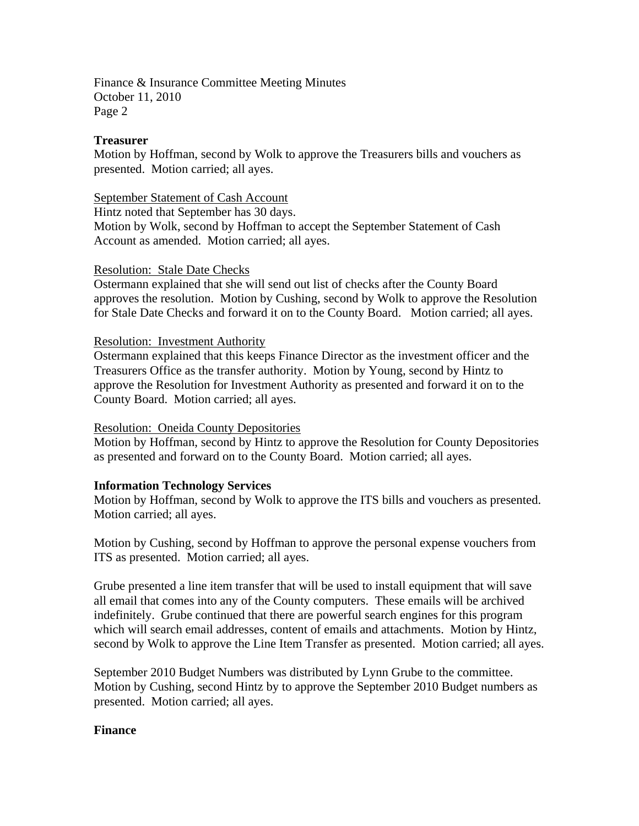#### **Treasurer**

Motion by Hoffman, second by Wolk to approve the Treasurers bills and vouchers as presented. Motion carried; all ayes.

#### September Statement of Cash Account

Hintz noted that September has 30 days.

Motion by Wolk, second by Hoffman to accept the September Statement of Cash Account as amended. Motion carried; all ayes.

#### Resolution: Stale Date Checks

Ostermann explained that she will send out list of checks after the County Board approves the resolution. Motion by Cushing, second by Wolk to approve the Resolution for Stale Date Checks and forward it on to the County Board. Motion carried; all ayes.

#### Resolution: Investment Authority

Ostermann explained that this keeps Finance Director as the investment officer and the Treasurers Office as the transfer authority. Motion by Young, second by Hintz to approve the Resolution for Investment Authority as presented and forward it on to the County Board. Motion carried; all ayes.

## Resolution: Oneida County Depositories

Motion by Hoffman, second by Hintz to approve the Resolution for County Depositories as presented and forward on to the County Board. Motion carried; all ayes.

## **Information Technology Services**

Motion by Hoffman, second by Wolk to approve the ITS bills and vouchers as presented. Motion carried; all ayes.

Motion by Cushing, second by Hoffman to approve the personal expense vouchers from ITS as presented. Motion carried; all ayes.

Grube presented a line item transfer that will be used to install equipment that will save all email that comes into any of the County computers. These emails will be archived indefinitely. Grube continued that there are powerful search engines for this program which will search email addresses, content of emails and attachments. Motion by Hintz, second by Wolk to approve the Line Item Transfer as presented. Motion carried; all ayes.

September 2010 Budget Numbers was distributed by Lynn Grube to the committee. Motion by Cushing, second Hintz by to approve the September 2010 Budget numbers as presented. Motion carried; all ayes.

## **Finance**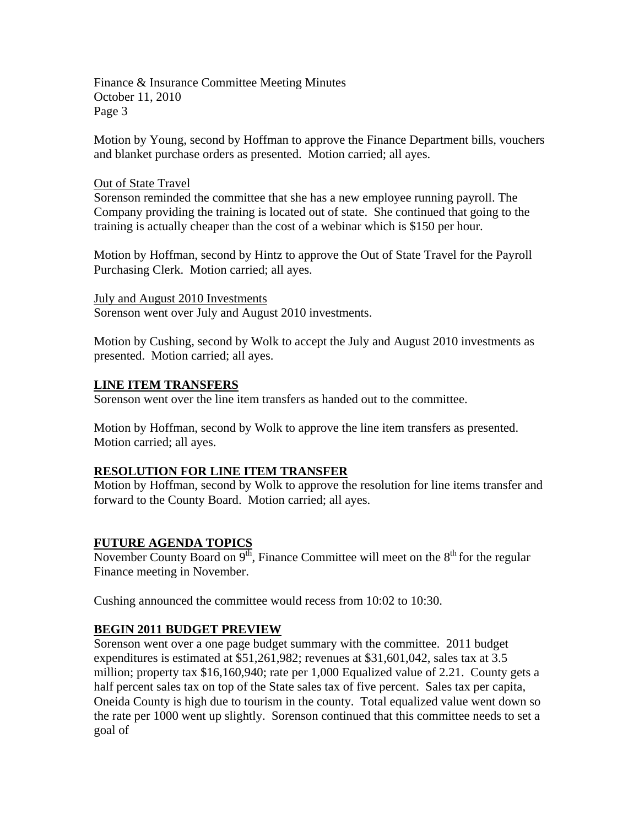Motion by Young, second by Hoffman to approve the Finance Department bills, vouchers and blanket purchase orders as presented. Motion carried; all ayes.

#### Out of State Travel

Sorenson reminded the committee that she has a new employee running payroll. The Company providing the training is located out of state. She continued that going to the training is actually cheaper than the cost of a webinar which is \$150 per hour.

Motion by Hoffman, second by Hintz to approve the Out of State Travel for the Payroll Purchasing Clerk. Motion carried; all ayes.

July and August 2010 Investments Sorenson went over July and August 2010 investments.

Motion by Cushing, second by Wolk to accept the July and August 2010 investments as presented. Motion carried; all ayes.

#### **LINE ITEM TRANSFERS**

Sorenson went over the line item transfers as handed out to the committee.

Motion by Hoffman, second by Wolk to approve the line item transfers as presented. Motion carried; all ayes.

## **RESOLUTION FOR LINE ITEM TRANSFER**

Motion by Hoffman, second by Wolk to approve the resolution for line items transfer and forward to the County Board. Motion carried; all ayes.

## **FUTURE AGENDA TOPICS**

November County Board on  $9<sup>th</sup>$ , Finance Committee will meet on the  $8<sup>th</sup>$  for the regular Finance meeting in November.

Cushing announced the committee would recess from 10:02 to 10:30.

## **BEGIN 2011 BUDGET PREVIEW**

Sorenson went over a one page budget summary with the committee. 2011 budget expenditures is estimated at \$51,261,982; revenues at \$31,601,042, sales tax at 3.5 million; property tax \$16,160,940; rate per 1,000 Equalized value of 2.21. County gets a half percent sales tax on top of the State sales tax of five percent. Sales tax per capita, Oneida County is high due to tourism in the county. Total equalized value went down so the rate per 1000 went up slightly. Sorenson continued that this committee needs to set a goal of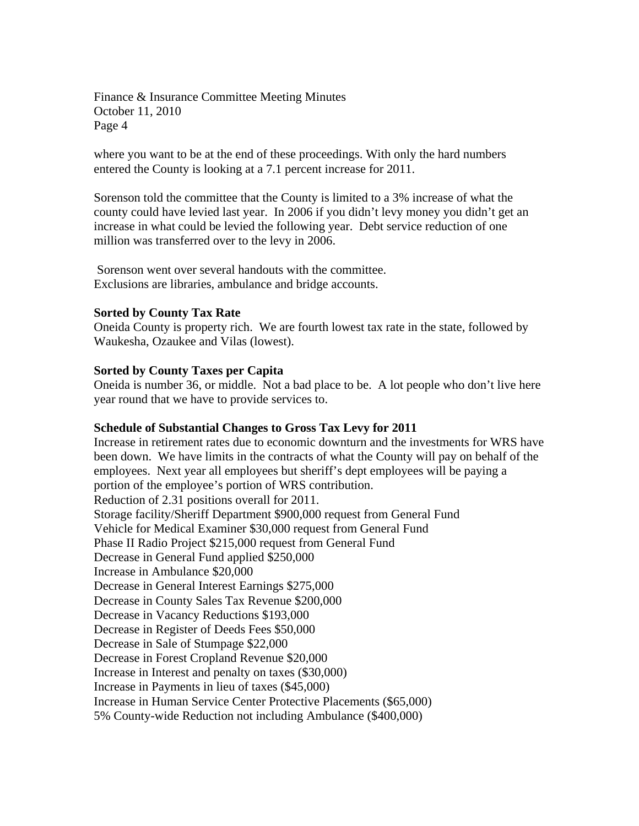where you want to be at the end of these proceedings. With only the hard numbers entered the County is looking at a 7.1 percent increase for 2011.

Sorenson told the committee that the County is limited to a 3% increase of what the county could have levied last year. In 2006 if you didn't levy money you didn't get an increase in what could be levied the following year. Debt service reduction of one million was transferred over to the levy in 2006.

 Sorenson went over several handouts with the committee. Exclusions are libraries, ambulance and bridge accounts.

#### **Sorted by County Tax Rate**

Oneida County is property rich. We are fourth lowest tax rate in the state, followed by Waukesha, Ozaukee and Vilas (lowest).

#### **Sorted by County Taxes per Capita**

Oneida is number 36, or middle. Not a bad place to be. A lot people who don't live here year round that we have to provide services to.

#### **Schedule of Substantial Changes to Gross Tax Levy for 2011**

Increase in retirement rates due to economic downturn and the investments for WRS have been down. We have limits in the contracts of what the County will pay on behalf of the employees. Next year all employees but sheriff's dept employees will be paying a portion of the employee's portion of WRS contribution. Reduction of 2.31 positions overall for 2011. Storage facility/Sheriff Department \$900,000 request from General Fund Vehicle for Medical Examiner \$30,000 request from General Fund Phase II Radio Project \$215,000 request from General Fund Decrease in General Fund applied \$250,000 Increase in Ambulance \$20,000 Decrease in General Interest Earnings \$275,000 Decrease in County Sales Tax Revenue \$200,000 Decrease in Vacancy Reductions \$193,000 Decrease in Register of Deeds Fees \$50,000 Decrease in Sale of Stumpage \$22,000 Decrease in Forest Cropland Revenue \$20,000 Increase in Interest and penalty on taxes (\$30,000) Increase in Payments in lieu of taxes (\$45,000) Increase in Human Service Center Protective Placements (\$65,000) 5% County-wide Reduction not including Ambulance (\$400,000)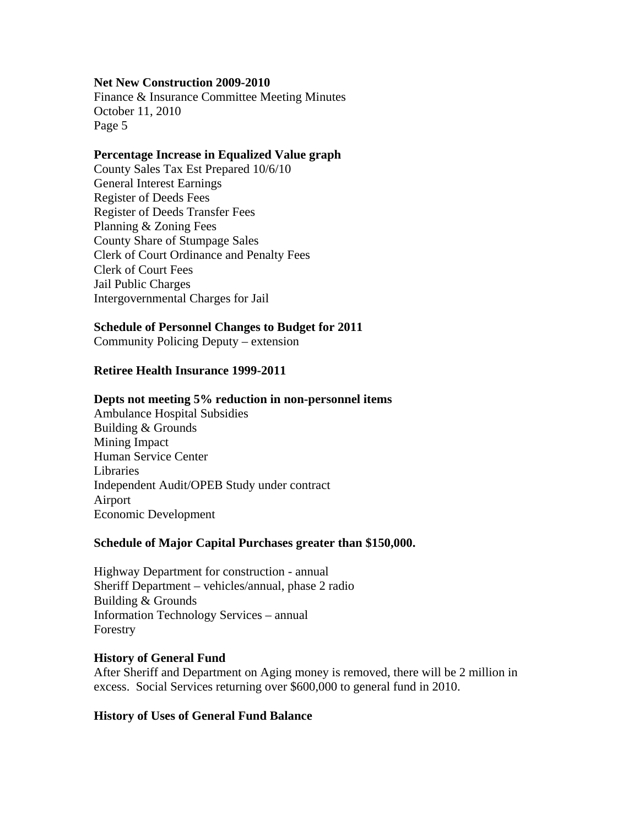#### **Net New Construction 2009-2010**

Finance & Insurance Committee Meeting Minutes October 11, 2010 Page 5

#### **Percentage Increase in Equalized Value graph**

County Sales Tax Est Prepared 10/6/10 General Interest Earnings Register of Deeds Fees Register of Deeds Transfer Fees Planning & Zoning Fees County Share of Stumpage Sales Clerk of Court Ordinance and Penalty Fees Clerk of Court Fees Jail Public Charges Intergovernmental Charges for Jail

#### **Schedule of Personnel Changes to Budget for 2011**

Community Policing Deputy – extension

#### **Retiree Health Insurance 1999-2011**

#### **Depts not meeting 5% reduction in non-personnel items**

Ambulance Hospital Subsidies Building & Grounds Mining Impact Human Service Center Libraries Independent Audit/OPEB Study under contract Airport Economic Development

#### **Schedule of Major Capital Purchases greater than \$150,000.**

Highway Department for construction - annual Sheriff Department – vehicles/annual, phase 2 radio Building & Grounds Information Technology Services – annual Forestry

#### **History of General Fund**

After Sheriff and Department on Aging money is removed, there will be 2 million in excess. Social Services returning over \$600,000 to general fund in 2010.

## **History of Uses of General Fund Balance**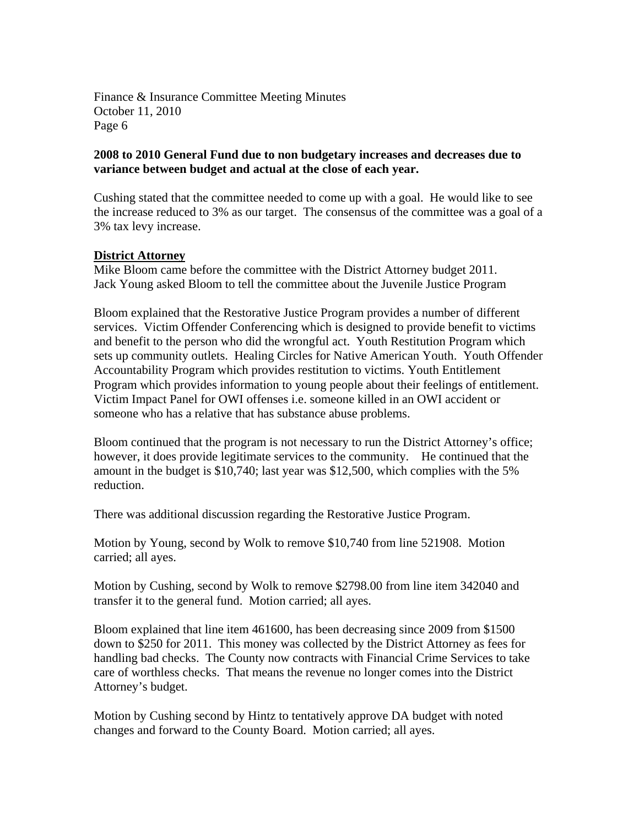## **2008 to 2010 General Fund due to non budgetary increases and decreases due to variance between budget and actual at the close of each year.**

Cushing stated that the committee needed to come up with a goal. He would like to see the increase reduced to 3% as our target. The consensus of the committee was a goal of a 3% tax levy increase.

## **District Attorney**

Mike Bloom came before the committee with the District Attorney budget 2011. Jack Young asked Bloom to tell the committee about the Juvenile Justice Program

Bloom explained that the Restorative Justice Program provides a number of different services. Victim Offender Conferencing which is designed to provide benefit to victims and benefit to the person who did the wrongful act. Youth Restitution Program which sets up community outlets. Healing Circles for Native American Youth. Youth Offender Accountability Program which provides restitution to victims. Youth Entitlement Program which provides information to young people about their feelings of entitlement. Victim Impact Panel for OWI offenses i.e. someone killed in an OWI accident or someone who has a relative that has substance abuse problems.

Bloom continued that the program is not necessary to run the District Attorney's office; however, it does provide legitimate services to the community. He continued that the amount in the budget is \$10,740; last year was \$12,500, which complies with the 5% reduction.

There was additional discussion regarding the Restorative Justice Program.

Motion by Young, second by Wolk to remove \$10,740 from line 521908. Motion carried; all ayes.

Motion by Cushing, second by Wolk to remove \$2798.00 from line item 342040 and transfer it to the general fund. Motion carried; all ayes.

Bloom explained that line item 461600, has been decreasing since 2009 from \$1500 down to \$250 for 2011. This money was collected by the District Attorney as fees for handling bad checks. The County now contracts with Financial Crime Services to take care of worthless checks. That means the revenue no longer comes into the District Attorney's budget.

Motion by Cushing second by Hintz to tentatively approve DA budget with noted changes and forward to the County Board. Motion carried; all ayes.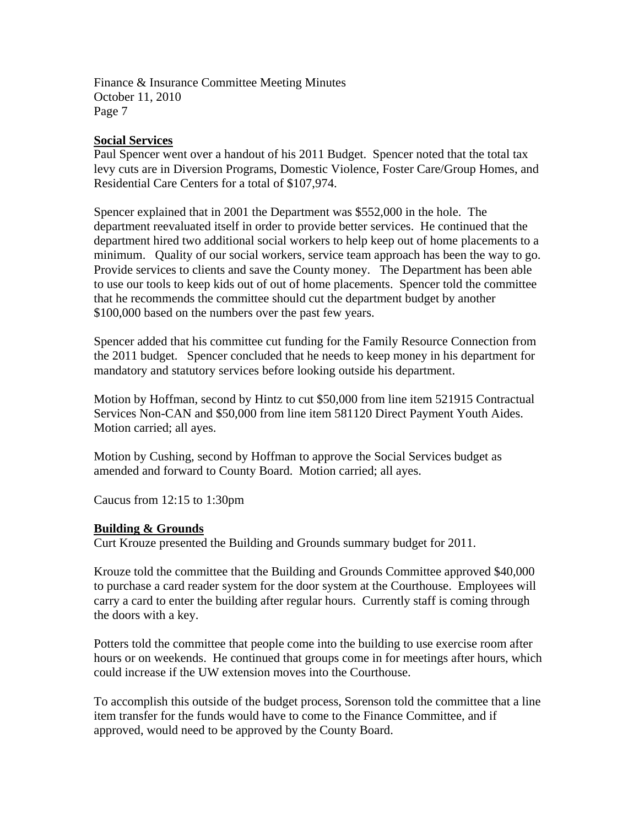#### **Social Services**

Paul Spencer went over a handout of his 2011 Budget. Spencer noted that the total tax levy cuts are in Diversion Programs, Domestic Violence, Foster Care/Group Homes, and Residential Care Centers for a total of \$107,974.

Spencer explained that in 2001 the Department was \$552,000 in the hole. The department reevaluated itself in order to provide better services. He continued that the department hired two additional social workers to help keep out of home placements to a minimum. Quality of our social workers, service team approach has been the way to go. Provide services to clients and save the County money. The Department has been able to use our tools to keep kids out of out of home placements. Spencer told the committee that he recommends the committee should cut the department budget by another \$100,000 based on the numbers over the past few years.

Spencer added that his committee cut funding for the Family Resource Connection from the 2011 budget. Spencer concluded that he needs to keep money in his department for mandatory and statutory services before looking outside his department.

Motion by Hoffman, second by Hintz to cut \$50,000 from line item 521915 Contractual Services Non-CAN and \$50,000 from line item 581120 Direct Payment Youth Aides. Motion carried; all ayes.

Motion by Cushing, second by Hoffman to approve the Social Services budget as amended and forward to County Board. Motion carried; all ayes.

Caucus from 12:15 to 1:30pm

## **Building & Grounds**

Curt Krouze presented the Building and Grounds summary budget for 2011.

Krouze told the committee that the Building and Grounds Committee approved \$40,000 to purchase a card reader system for the door system at the Courthouse. Employees will carry a card to enter the building after regular hours. Currently staff is coming through the doors with a key.

Potters told the committee that people come into the building to use exercise room after hours or on weekends. He continued that groups come in for meetings after hours, which could increase if the UW extension moves into the Courthouse.

To accomplish this outside of the budget process, Sorenson told the committee that a line item transfer for the funds would have to come to the Finance Committee, and if approved, would need to be approved by the County Board.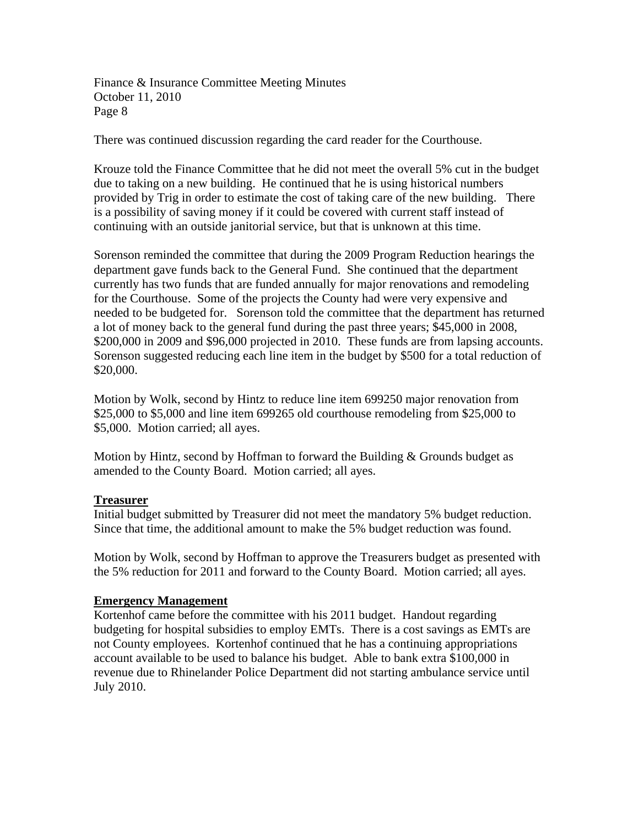There was continued discussion regarding the card reader for the Courthouse.

Krouze told the Finance Committee that he did not meet the overall 5% cut in the budget due to taking on a new building. He continued that he is using historical numbers provided by Trig in order to estimate the cost of taking care of the new building. There is a possibility of saving money if it could be covered with current staff instead of continuing with an outside janitorial service, but that is unknown at this time.

Sorenson reminded the committee that during the 2009 Program Reduction hearings the department gave funds back to the General Fund. She continued that the department currently has two funds that are funded annually for major renovations and remodeling for the Courthouse. Some of the projects the County had were very expensive and needed to be budgeted for. Sorenson told the committee that the department has returned a lot of money back to the general fund during the past three years; \$45,000 in 2008, \$200,000 in 2009 and \$96,000 projected in 2010. These funds are from lapsing accounts. Sorenson suggested reducing each line item in the budget by \$500 for a total reduction of \$20,000.

Motion by Wolk, second by Hintz to reduce line item 699250 major renovation from \$25,000 to \$5,000 and line item 699265 old courthouse remodeling from \$25,000 to \$5,000. Motion carried; all ayes.

Motion by Hintz, second by Hoffman to forward the Building & Grounds budget as amended to the County Board. Motion carried; all ayes.

## **Treasurer**

Initial budget submitted by Treasurer did not meet the mandatory 5% budget reduction. Since that time, the additional amount to make the 5% budget reduction was found.

Motion by Wolk, second by Hoffman to approve the Treasurers budget as presented with the 5% reduction for 2011 and forward to the County Board. Motion carried; all ayes.

## **Emergency Management**

Kortenhof came before the committee with his 2011 budget. Handout regarding budgeting for hospital subsidies to employ EMTs. There is a cost savings as EMTs are not County employees. Kortenhof continued that he has a continuing appropriations account available to be used to balance his budget. Able to bank extra \$100,000 in revenue due to Rhinelander Police Department did not starting ambulance service until July 2010.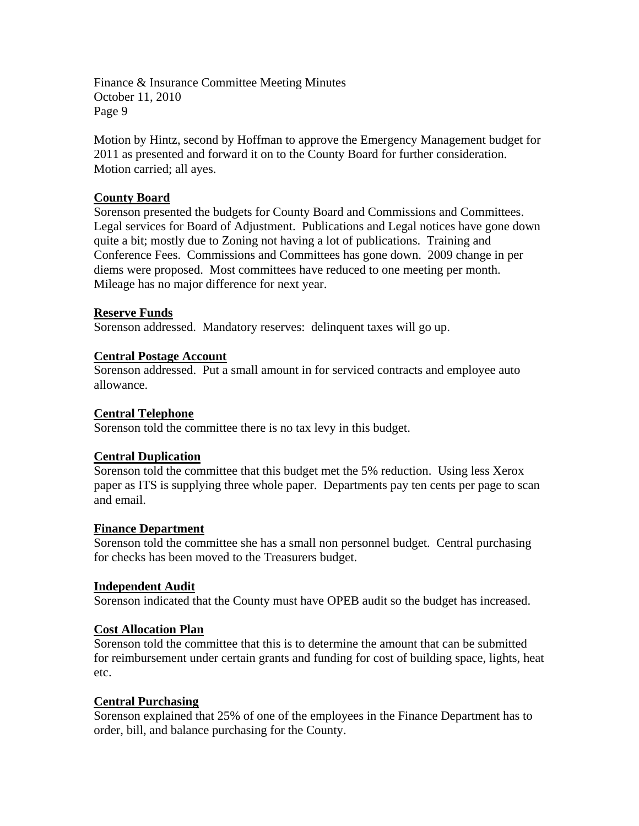Motion by Hintz, second by Hoffman to approve the Emergency Management budget for 2011 as presented and forward it on to the County Board for further consideration. Motion carried; all ayes.

#### **County Board**

Sorenson presented the budgets for County Board and Commissions and Committees. Legal services for Board of Adjustment. Publications and Legal notices have gone down quite a bit; mostly due to Zoning not having a lot of publications. Training and Conference Fees. Commissions and Committees has gone down. 2009 change in per diems were proposed. Most committees have reduced to one meeting per month. Mileage has no major difference for next year.

#### **Reserve Funds**

Sorenson addressed. Mandatory reserves: delinquent taxes will go up.

#### **Central Postage Account**

Sorenson addressed. Put a small amount in for serviced contracts and employee auto allowance.

#### **Central Telephone**

Sorenson told the committee there is no tax levy in this budget.

## **Central Duplication**

Sorenson told the committee that this budget met the 5% reduction. Using less Xerox paper as ITS is supplying three whole paper. Departments pay ten cents per page to scan and email.

#### **Finance Department**

Sorenson told the committee she has a small non personnel budget. Central purchasing for checks has been moved to the Treasurers budget.

#### **Independent Audit**

Sorenson indicated that the County must have OPEB audit so the budget has increased.

## **Cost Allocation Plan**

Sorenson told the committee that this is to determine the amount that can be submitted for reimbursement under certain grants and funding for cost of building space, lights, heat etc.

## **Central Purchasing**

Sorenson explained that 25% of one of the employees in the Finance Department has to order, bill, and balance purchasing for the County.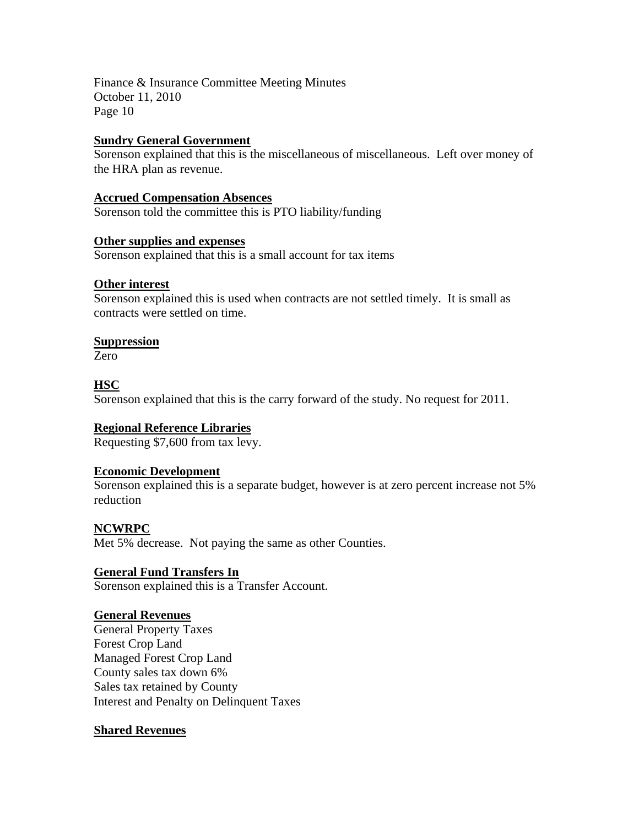## **Sundry General Government**

Sorenson explained that this is the miscellaneous of miscellaneous. Left over money of the HRA plan as revenue.

# **Accrued Compensation Absences**

Sorenson told the committee this is PTO liability/funding

## **Other supplies and expenses**

Sorenson explained that this is a small account for tax items

## **Other interest**

Sorenson explained this is used when contracts are not settled timely. It is small as contracts were settled on time.

## **Suppression**

Zero

## **HSC**

Sorenson explained that this is the carry forward of the study. No request for 2011.

# **Regional Reference Libraries**

Requesting \$7,600 from tax levy.

# **Economic Development**

Sorenson explained this is a separate budget, however is at zero percent increase not 5% reduction

# **NCWRPC**

Met 5% decrease. Not paying the same as other Counties.

# **General Fund Transfers In**

Sorenson explained this is a Transfer Account.

## **General Revenues**

General Property Taxes Forest Crop Land Managed Forest Crop Land County sales tax down 6% Sales tax retained by County Interest and Penalty on Delinquent Taxes

## **Shared Revenues**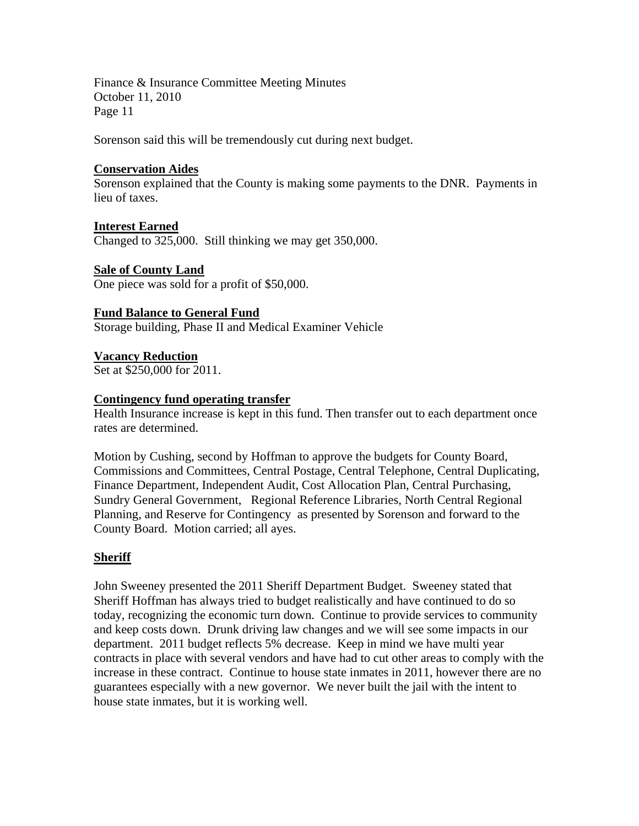Sorenson said this will be tremendously cut during next budget.

## **Conservation Aides**

Sorenson explained that the County is making some payments to the DNR. Payments in lieu of taxes.

**Interest Earned** Changed to 325,000. Still thinking we may get 350,000.

**Sale of County Land** One piece was sold for a profit of \$50,000.

**Fund Balance to General Fund** Storage building, Phase II and Medical Examiner Vehicle

**Vacancy Reduction** Set at \$250,000 for 2011.

## **Contingency fund operating transfer**

Health Insurance increase is kept in this fund. Then transfer out to each department once rates are determined.

Motion by Cushing, second by Hoffman to approve the budgets for County Board, Commissions and Committees, Central Postage, Central Telephone, Central Duplicating, Finance Department, Independent Audit, Cost Allocation Plan, Central Purchasing, Sundry General Government, Regional Reference Libraries, North Central Regional Planning, and Reserve for Contingency as presented by Sorenson and forward to the County Board. Motion carried; all ayes.

## **Sheriff**

John Sweeney presented the 2011 Sheriff Department Budget. Sweeney stated that Sheriff Hoffman has always tried to budget realistically and have continued to do so today, recognizing the economic turn down. Continue to provide services to community and keep costs down. Drunk driving law changes and we will see some impacts in our department. 2011 budget reflects 5% decrease. Keep in mind we have multi year contracts in place with several vendors and have had to cut other areas to comply with the increase in these contract. Continue to house state inmates in 2011, however there are no guarantees especially with a new governor. We never built the jail with the intent to house state inmates, but it is working well.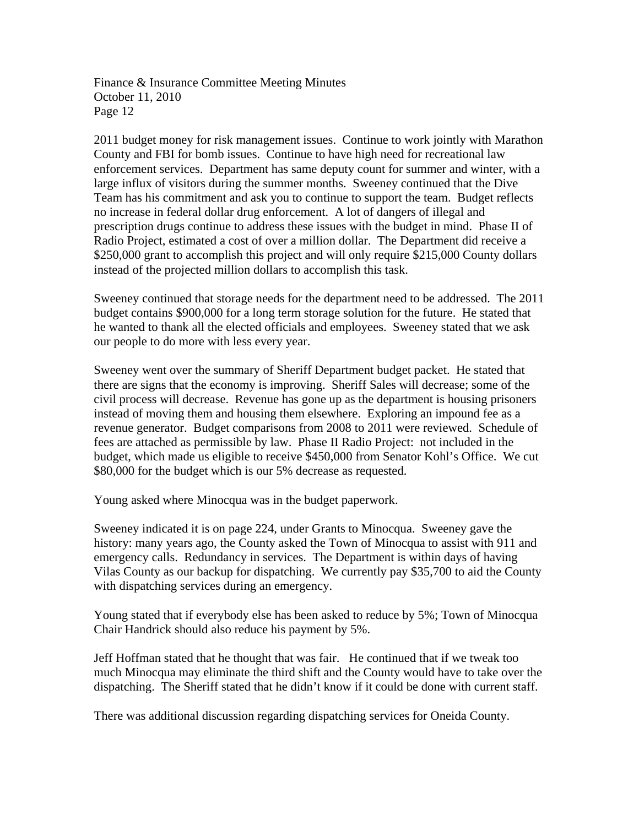2011 budget money for risk management issues. Continue to work jointly with Marathon County and FBI for bomb issues. Continue to have high need for recreational law enforcement services. Department has same deputy count for summer and winter, with a large influx of visitors during the summer months. Sweeney continued that the Dive Team has his commitment and ask you to continue to support the team. Budget reflects no increase in federal dollar drug enforcement. A lot of dangers of illegal and prescription drugs continue to address these issues with the budget in mind. Phase II of Radio Project, estimated a cost of over a million dollar. The Department did receive a \$250,000 grant to accomplish this project and will only require \$215,000 County dollars instead of the projected million dollars to accomplish this task.

Sweeney continued that storage needs for the department need to be addressed. The 2011 budget contains \$900,000 for a long term storage solution for the future. He stated that he wanted to thank all the elected officials and employees. Sweeney stated that we ask our people to do more with less every year.

Sweeney went over the summary of Sheriff Department budget packet. He stated that there are signs that the economy is improving. Sheriff Sales will decrease; some of the civil process will decrease. Revenue has gone up as the department is housing prisoners instead of moving them and housing them elsewhere. Exploring an impound fee as a revenue generator. Budget comparisons from 2008 to 2011 were reviewed. Schedule of fees are attached as permissible by law. Phase II Radio Project: not included in the budget, which made us eligible to receive \$450,000 from Senator Kohl's Office. We cut \$80,000 for the budget which is our 5% decrease as requested.

Young asked where Minocqua was in the budget paperwork.

Sweeney indicated it is on page 224, under Grants to Minocqua. Sweeney gave the history: many years ago, the County asked the Town of Minocqua to assist with 911 and emergency calls. Redundancy in services. The Department is within days of having Vilas County as our backup for dispatching. We currently pay \$35,700 to aid the County with dispatching services during an emergency.

Young stated that if everybody else has been asked to reduce by 5%; Town of Minocqua Chair Handrick should also reduce his payment by 5%.

Jeff Hoffman stated that he thought that was fair. He continued that if we tweak too much Minocqua may eliminate the third shift and the County would have to take over the dispatching. The Sheriff stated that he didn't know if it could be done with current staff.

There was additional discussion regarding dispatching services for Oneida County.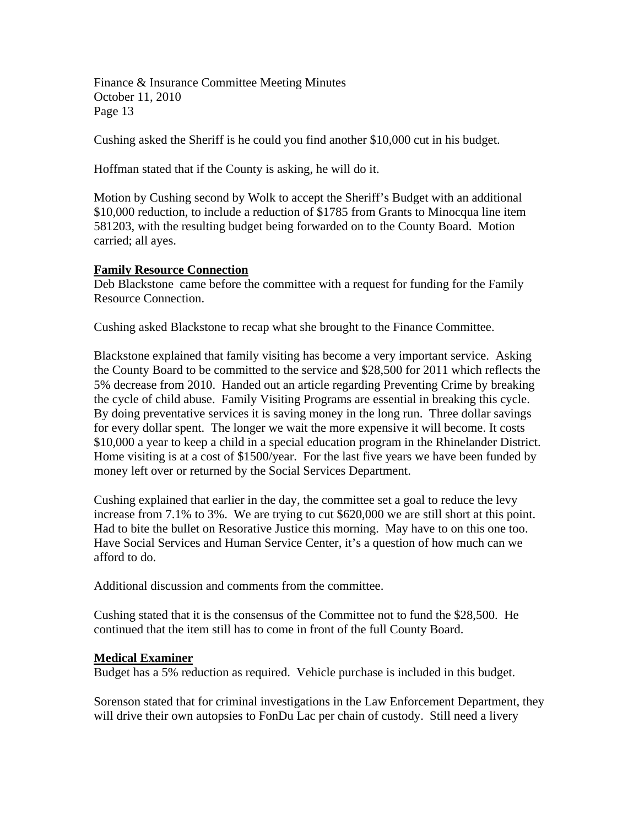Cushing asked the Sheriff is he could you find another \$10,000 cut in his budget.

Hoffman stated that if the County is asking, he will do it.

Motion by Cushing second by Wolk to accept the Sheriff's Budget with an additional \$10,000 reduction, to include a reduction of \$1785 from Grants to Minocqua line item 581203, with the resulting budget being forwarded on to the County Board. Motion carried; all ayes.

## **Family Resource Connection**

Deb Blackstone came before the committee with a request for funding for the Family Resource Connection.

Cushing asked Blackstone to recap what she brought to the Finance Committee.

Blackstone explained that family visiting has become a very important service. Asking the County Board to be committed to the service and \$28,500 for 2011 which reflects the 5% decrease from 2010. Handed out an article regarding Preventing Crime by breaking the cycle of child abuse. Family Visiting Programs are essential in breaking this cycle. By doing preventative services it is saving money in the long run. Three dollar savings for every dollar spent. The longer we wait the more expensive it will become. It costs \$10,000 a year to keep a child in a special education program in the Rhinelander District. Home visiting is at a cost of \$1500/year. For the last five years we have been funded by money left over or returned by the Social Services Department.

Cushing explained that earlier in the day, the committee set a goal to reduce the levy increase from 7.1% to 3%. We are trying to cut \$620,000 we are still short at this point. Had to bite the bullet on Resorative Justice this morning. May have to on this one too. Have Social Services and Human Service Center, it's a question of how much can we afford to do.

Additional discussion and comments from the committee.

Cushing stated that it is the consensus of the Committee not to fund the \$28,500. He continued that the item still has to come in front of the full County Board.

#### **Medical Examiner**

Budget has a 5% reduction as required. Vehicle purchase is included in this budget.

Sorenson stated that for criminal investigations in the Law Enforcement Department, they will drive their own autopsies to FonDu Lac per chain of custody. Still need a livery